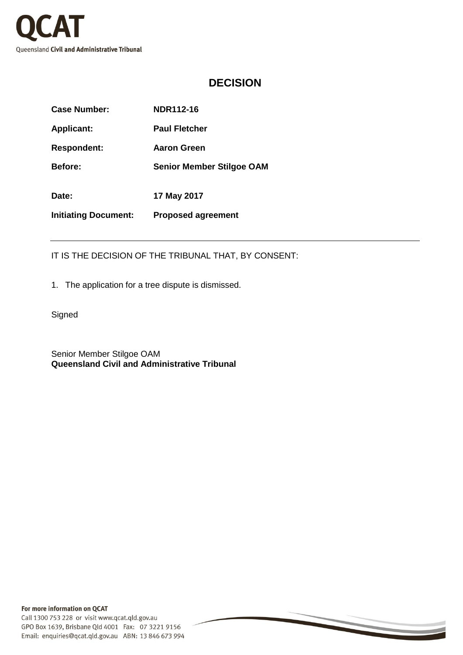

## **DECISION**

| Case Number:                | NDR112-16                        |
|-----------------------------|----------------------------------|
| <b>Applicant:</b>           | <b>Paul Fletcher</b>             |
| <b>Respondent:</b>          | Aaron Green                      |
| <b>Before:</b>              | <b>Senior Member Stilgoe OAM</b> |
| Date:                       | 17 May 2017                      |
| <b>Initiating Document:</b> | <b>Proposed agreement</b>        |

IT IS THE DECISION OF THE TRIBUNAL THAT, BY CONSENT:

1. The application for a tree dispute is dismissed.

**Signed** 

Senior Member Stilgoe OAM **Queensland Civil and Administrative Tribunal**